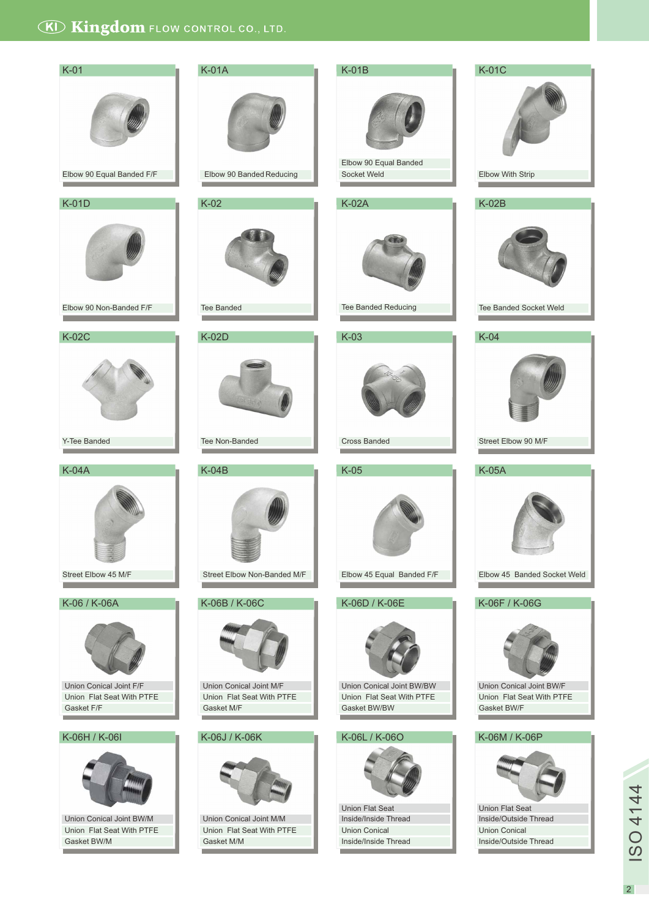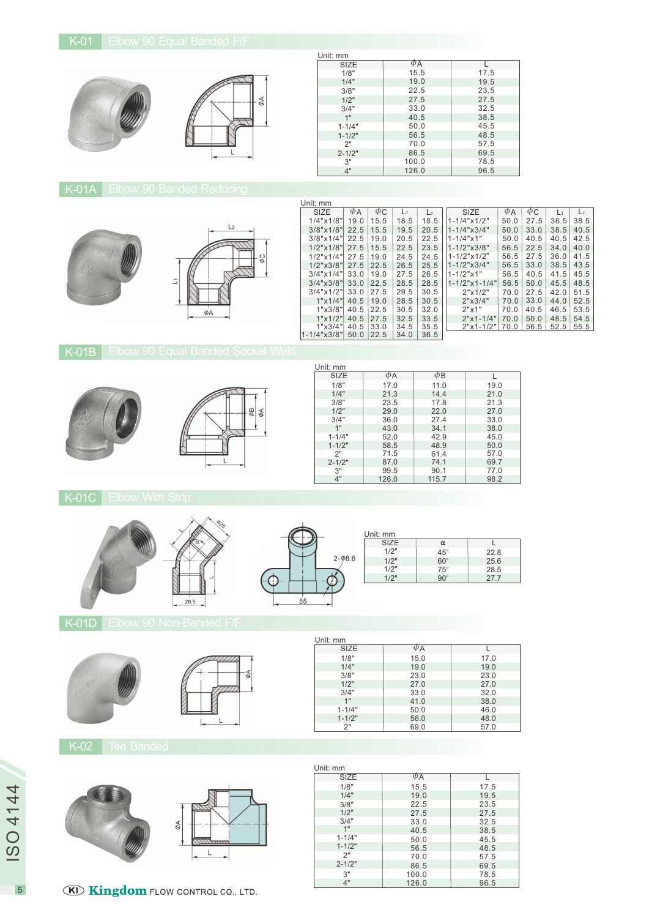

#### $\begin{array}{c|c}\n\text{SIZE} & \phi_{\mathsf{A}} & \mathsf{L} \\
1/8^{\circ} & 15.5 & 17\n\end{array}$  $2 - 1/2$ " 3" 4" 1/8" 3/8" 1/4" 1/2" 3/4" 1" 1-1/4"  $1 - 1/2$ "  $\frac{1}{2}$ Unit: mm<br>SIZE 19.0 22.5 27.5 33.0 40.5 50.0 56.5 70.0 86.5 100.0 126.0 17.5 19.5 23.5 27.5 32.5 38.5 45.5 48.5 57.5 69.5 78.5 96.5

# K-01A Elbow 90 Banded Reducing



| Unit: mm                 |             |          |       |                |                              |          |          |      |                |
|--------------------------|-------------|----------|-------|----------------|------------------------------|----------|----------|------|----------------|
| <b>SIZE</b>              | $\varphi$ A | $\phi$ C | $L_1$ | L <sub>2</sub> | <b>SIZE</b>                  | $\phi$ A | $\phi$ C | L1   | L <sub>2</sub> |
| $1/4$ " $\times$ $1/8$ " | 19.0        | 15.5     | 18.5  | 18.5           | $1 - 1/4$ " $\times$ $1/2$ " | 50.0     | 27.5     | 36.5 | 38.5           |
| $3/8$ "x $1/8$ "         | 22.5        | 15.5     | 19.5  | 20.5           | $1 - 1/4$ " $\times$ 3/4"    | 50.0     | 33.0     | 38.5 | 40.5           |
| $3/8" \times 1/4"$       | 22.5        | 19.0     | 20.5  | 22.5           | $1 - 1/4$ " $\times$ 1"      | 50.0     | 40.5     | 40.5 | 42.5           |
| $1/2$ "x $1/8$ "         | 27.5        | 15.5     | 22.5  | 23.5           | $1 - 1/2$ " $\times$ 3/8"    | 56.5     | 22.5     | 34.0 | 40.0           |
| $1/2$ "x $1/4$ "         | 27.5        | 19.0     | 24.5  | 24.5           | $1 - 1/2$ " $\times 1/2$ "   | 56.5     | 27.5     | 36.0 | 41.5           |
| $1/2$ " $\times$ 3/8"    | 27.5        | 22.5     | 26.5  | 25.5           | $1 - 1/2$ " $\times$ 3/4"    | 56.5     | 33.0     | 38.5 | 43.5           |
| $3/4$ "x $1/4$ "         | 33.0        | 19.0     | 27.5  | 26.5           | $1 - 1/2" \times 1"$         | 56.5     | 40.5     | 41.5 | 45.5           |
| $3/4$ " $\times$ $3/8$ " | 33.0        | 22.5     | 28.5  | 28.5           | $1 - 1/2$ "x 1 - $1/4$ "     | 56.5     | 50.0     | 45.5 | 48.5           |
| $3/4$ "x $1/2$ "         | 33.0        | 27.5     | 29.5  | 30.5           | 2"x1/2"                      | 70.0     | 27.5     | 42.0 | 51.5           |
| 1"x1/4"                  | 40.5        | 19.0     | 28.5  | 30.5           | 2"x3/4"                      | 70.0     | 33.0     | 44.0 | 52.5           |
| 1"x3/8"                  | 40.5        | 22.5     | 30.5  | 32.0           | 2"x1"                        | 70.0     | 40.5     | 46.5 | 53.5           |
| 1"x1/2"                  | 40.5        | 27.5     | 32.5  | 33.5           | $2"x1-1/4"$                  | 70.0     | 50.0     | 48.5 | 54.5           |
| 1"x3/4"                  | 40.5        | 33.0     | 34.5  | 35.5           | $2"x1-1/2"$                  | 70.0     | 56.5     | 52.5 | 55.5           |
| $1 - 1/4$ "x3/8"         | 50.0        | 22.5     | 34.0  | 36.5           |                              |          |          |      |                |

# **K-01B** Elbow 90 Equal Banded Socket Weld





| Unit: mm   |          |          |      |
|------------|----------|----------|------|
| SIZE       | $\phi$ A | $\phi$ B |      |
| 1/8"       | 17.0     | 11.0     | 19.0 |
| 1/4"       | 21.3     | 14.4     | 21.0 |
| 3/8"       | 23.5     | 17.8     | 21.3 |
| 1/2"       | 29.0     | 22.0     | 27.0 |
| 3/4"       | 36.0     | 27.4     | 33.0 |
| 1"         | 43.0     | 34.1     | 38.0 |
| $1 - 1/4"$ | 52.0     | 42.9     | 45.0 |
| $1 - 1/2"$ | 58.5     | 48.9     | 50.0 |
| 2"         | 71.5     | 61.4     | 57.0 |
| $2 - 1/2"$ | 87.0     | 74.1     | 69.7 |
| 3"         | 99.5     | 90.1     | 77.0 |
| 4"         | 126.0    | 115.7    | 98.2 |

#### K-01C Elbow With Strip





Unit: mm

|            | Unit: mm    |            |      |
|------------|-------------|------------|------|
| $\phi$ 8.6 | <b>SIZE</b> | α          |      |
|            | 1/2"        | $45^\circ$ | 22.8 |
|            | 1/2"        | $60^\circ$ | 25.6 |
|            | 1/2"        | $75^\circ$ | 28.5 |
|            | 1/2"        | $90^\circ$ | 27.7 |

K-01D Elbow 90 Non-Banded F/F



| $\phi$ A |      |
|----------|------|
| 15.0     | 17.0 |
| 19.0     | 19.0 |
| 23.0     | 23.0 |
| 27.0     | 27.0 |
| 33.0     | 32.0 |
| 41.0     | 38.0 |
| 50.0     | 46.0 |
| 56.0     | 48.0 |
| 69.0     | 57.0 |
|          |      |

K-02 Tee Banded



| Unit: mm    |          |      |
|-------------|----------|------|
| <b>SIZE</b> | $\phi$ A | L    |
| 1/8"        | 15.5     | 17.5 |
| 1/4"        | 19.0     | 19.5 |
| 3/8"        | 22.5     | 23.5 |
| 1/2"        | 27.5     | 27.5 |
| 3/4"        | 33.0     | 32.5 |
| 1"          | 40.5     | 38.5 |
| $1 - 1/4"$  | 50.0     | 45.5 |
| $1 - 1/2"$  | 56.5     | 48.5 |
| 2"          | 70.0     | 57.5 |
| $2 - 1/2"$  | 86.5     | 69.5 |
| 3"          | 100.0    | 78.5 |
| 4"          | 126.0    | 96.5 |

5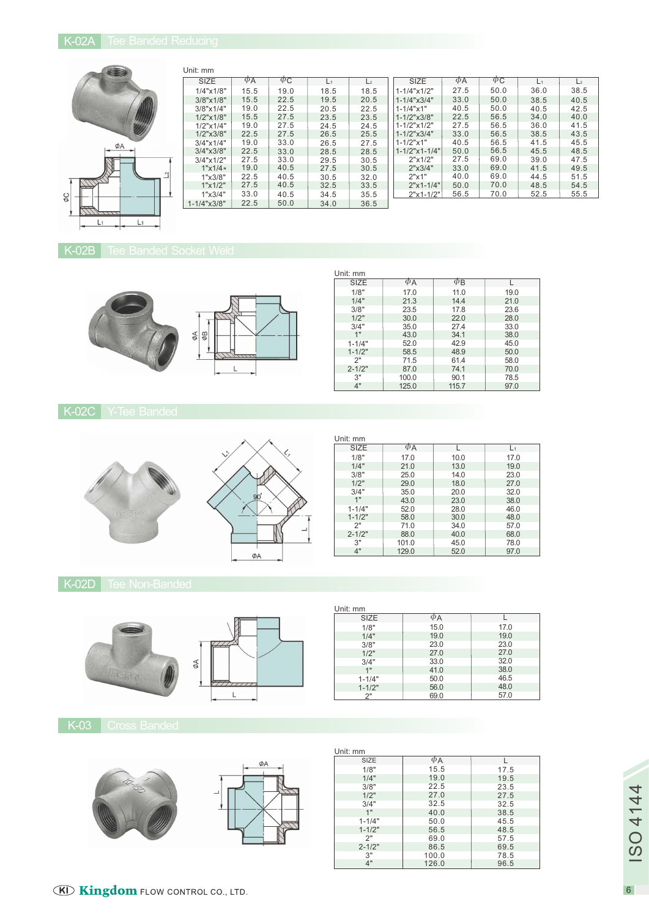

| Unit: mm                 |             |                        |       |      |                              |          |             |       |                |
|--------------------------|-------------|------------------------|-------|------|------------------------------|----------|-------------|-------|----------------|
| <b>SIZE</b>              | $\varphi$ A | $\varphi_{\mathsf{C}}$ | $L_1$ | L2   | SIZE                         | $\phi$ A | $\varphi$ C | $L_1$ | L <sub>2</sub> |
| $1/4$ " $\times$ $1/8$ " | 15.5        | 19.0                   | 18.5  | 18.5 | $1 - 1/4$ " $\times$ $1/2$ " | 27.5     | 50.0        | 36.0  | 38.5           |
| $3/8" \times 1/8"$       | 15.5        | 22.5                   | 19.5  | 20.5 | $1 - 1/4$ " $x3/4$ "         | 33.0     | 50.0        | 38.5  | 40.5           |
| $3/8" \times 1/4"$       | 19.0        | 22.5                   | 20.5  | 22.5 | $1 - 1/4$ " $\times$ 1"      | 40.5     | 50.0        | 40.5  | 42.5           |
| $1/2$ "x $1/8$ "         | 15.5        | 27.5                   | 23.5  | 23.5 | $1 - 1/2$ " $x3/8$ "         | 22.5     | 56.5        | 34.0  | 40.0           |
| $1/2$ " $\times$ $1/4$ " | 19.0        | 27.5                   | 24.5  | 24.5 | $1 - 1/2$ "x $1/2$ "         | 27.5     | 56.5        | 36.0  | 41.5           |
| $1/2$ "x $3/8$ "         | 22.5        | 27.5                   | 26.5  | 25.5 | $1 - 1/2$ " $x3/4$ "         | 33.0     | 56.5        | 38.5  | 43.5           |
| $3/4$ " $\times$ 1/4"    | 19.0        | 33.0                   | 26.5  | 27.5 | $1 - 1/2" \times 1"$         | 40.5     | 56.5        | 41.5  | 45.5           |
| $3/4$ " $\times$ $3/8$ " | 22.5        | 33.0                   | 28.5  | 28.5 | $1 - 1/2$ "x 1 - $1/4$ "     | 50.0     | 56.5        | 45.5  | 48.5           |
| $3/4$ "x $1/2$ "         | 27.5        | 33.0                   | 29.5  | 30.5 | 2"x1/2"                      | 27.5     | 69.0        | 39.0  | 47.5           |
| 1"x1/4"                  | 19.0        | 40.5                   | 27.5  | 30.5 | 2"x3/4"                      | 33.0     | 69.0        | 41.5  | 49.5           |
| 1"x3/8"                  | 22.5        | 40.5                   | 30.5  | 32.0 | 2"x1"                        | 40.0     | 69.0        | 44.5  | 51.5           |
| 1"x1/2"                  | 27.5        | 40.5                   | 32.5  | 33.5 | $2"x1-1/4"$                  | 50.0     | 70.0        | 48.5  | 54.5           |
| 1"x3/4"                  | 33.0        | 40.5                   | 34.5  | 35.5 | $2"x1-1/2"$                  | 56.5     | 70.0        | 52.5  | 55.5           |
| $1 - 1/4$ " $x3/8$ "     | 22.5        | 50.0                   | 34.0  | 36.5 |                              |          |             |       |                |

# K-02B Tee Banded Socket Weld



| Unit: mm   |          |          |      |
|------------|----------|----------|------|
| SIZE       | $\phi$ A | $\phi$ B |      |
| 1/8"       | 17.0     | 11.0     | 19.0 |
| 1/4"       | 21.3     | 14.4     | 21.0 |
| 3/8"       | 23.5     | 17.8     | 23.6 |
| 1/2"       | 30.0     | 22.0     | 28.0 |
| 3/4"       | 35.0     | 27.4     | 33.0 |
| 1"         | 43.0     | 34.1     | 38.0 |
| $1 - 1/4"$ | 52.0     | 42.9     | 45.0 |
| $1 - 1/2"$ | 58.5     | 48.9     | 50.0 |
| 2"         | 71.5     | 61.4     | 58.0 |
| $2 - 1/2"$ | 87.0     | 74.1     | 70.0 |
| 3"         | 100.0    | 90.1     | 78.5 |
| 4"         | 125.0    | 115.7    | 97.0 |

K-02C Y-Tee Banded



| Unit: mm    |                     |      |      |
|-------------|---------------------|------|------|
| <b>SIZE</b> | $\phi_{\mathsf{A}}$ | L    | L1   |
| 1/8"        | 17.0                | 10.0 | 17.0 |
| 1/4"        | 21.0                | 13.0 | 19.0 |
| 3/8"        | 25.0                | 14.0 | 23.0 |
| 1/2"        | 29.0                | 18.0 | 27.0 |
| 3/4"        | 35.0                | 20.0 | 32.0 |
| 1"          | 43.0                | 23.0 | 38.0 |
| $1 - 1/4"$  | 52.0                | 28.0 | 46.0 |
| $1 - 1/2"$  | 58.0                | 30.0 | 48.0 |
| 2"          | 71.0                | 34.0 | 57.0 |
| $2 - 1/2"$  | 88.0                | 40.0 | 68.0 |
| 3"          | 101.0               | 45.0 | 78.0 |
| 4"          | 129.0               | 52.0 | 97.0 |

# K-02D Tee Non-Banded



| K-03 | <b>Aross Bander</b> |
|------|---------------------|



| ØΑ<br>$\tilde{\mathcal{K}}$ |
|-----------------------------|
|-----------------------------|

| Unit: mm    |          |      |
|-------------|----------|------|
| <b>SIZE</b> | $\phi$ A |      |
| 1/8"        | 15.5     | 17.5 |
| 1/4"        | 19.0     | 19.5 |
| 3/8"        | 22.5     | 23.5 |
| 1/2"        | 27.0     | 27.5 |
| 3/4"        | 32.5     | 32.5 |
| 1"          | 40.0     | 38.5 |
| $1 - 1/4"$  | 50.0     | 45.5 |
| $1 - 1/2"$  | 56.5     | 48.5 |
| 2"          | 69.0     | 57.5 |
| $2 - 1/2"$  | 86.5     | 69.5 |
| 3"          | 100.0    | 78.5 |
| 4"          | 126.0    | 96.5 |